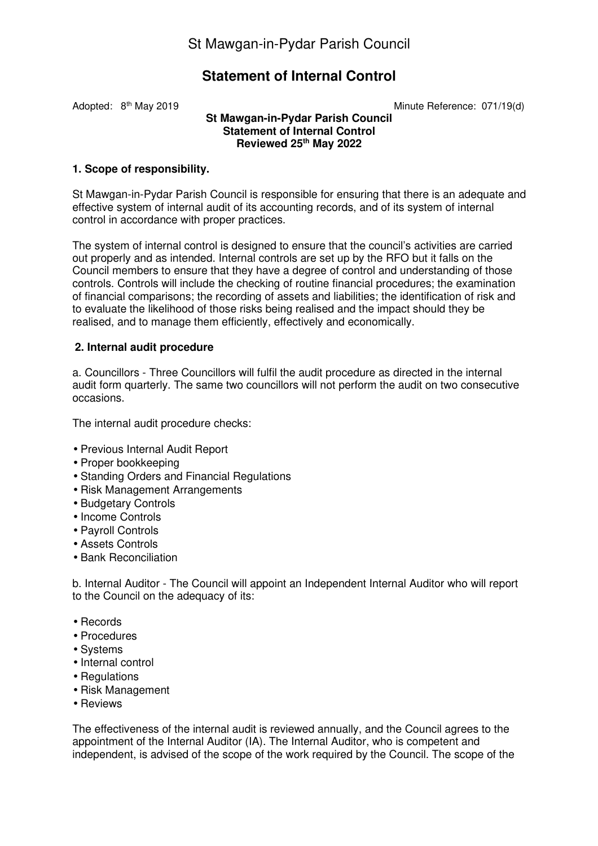# **Statement of Internal Control**

Adopted: 8<sup>th</sup> May 2019 **Minute Reference: 071/19(d)** 

#### **St Mawgan-in-Pydar Parish Council Statement of Internal Control Reviewed 25th May 2022**

## **1. Scope of responsibility.**

St Mawgan-in-Pydar Parish Council is responsible for ensuring that there is an adequate and effective system of internal audit of its accounting records, and of its system of internal control in accordance with proper practices.

The system of internal control is designed to ensure that the council's activities are carried out properly and as intended. Internal controls are set up by the RFO but it falls on the Council members to ensure that they have a degree of control and understanding of those controls. Controls will include the checking of routine financial procedures; the examination of financial comparisons; the recording of assets and liabilities; the identification of risk and to evaluate the likelihood of those risks being realised and the impact should they be realised, and to manage them efficiently, effectively and economically.

## **2. Internal audit procedure**

a. Councillors - Three Councillors will fulfil the audit procedure as directed in the internal audit form quarterly. The same two councillors will not perform the audit on two consecutive occasions.

The internal audit procedure checks:

- Previous Internal Audit Report
- Proper bookkeeping
- Standing Orders and Financial Regulations
- Risk Management Arrangements
- Budgetary Controls
- Income Controls
- Payroll Controls
- Assets Controls
- Bank Reconciliation

b. Internal Auditor - The Council will appoint an Independent Internal Auditor who will report to the Council on the adequacy of its:

- Records
- Procedures
- Systems
- Internal control
- Regulations
- Risk Management
- Reviews

The effectiveness of the internal audit is reviewed annually, and the Council agrees to the appointment of the Internal Auditor (IA). The Internal Auditor, who is competent and independent, is advised of the scope of the work required by the Council. The scope of the